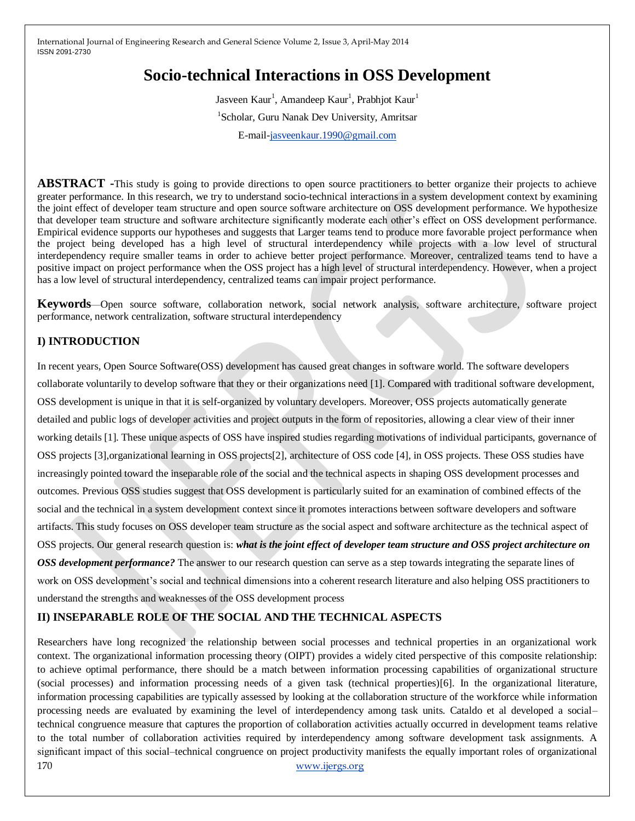# **Socio-technical Interactions in OSS Development**

Jasveen Kaur<sup>1</sup>, Amandeep Kaur<sup>1</sup>, Prabhjot Kaur<sup>1</sup> 1 Scholar, Guru Nanak Dev University, Amritsar E-mail[-jasveenkaur.1990@gmail.com](mailto:jasveenkaur.1990@gmail.com)

**ABSTRACT** -This study is going to provide directions to open source practitioners to better organize their projects to achieve greater performance. In this research, we try to understand socio-technical interactions in a system development context by examining the joint effect of developer team structure and open source software architecture on OSS development performance. We hypothesize that developer team structure and software architecture significantly moderate each other's effect on OSS development performance. Empirical evidence supports our hypotheses and suggests that Larger teams tend to produce more favorable project performance when the project being developed has a high level of structural interdependency while projects with a low level of structural interdependency require smaller teams in order to achieve better project performance. Moreover, centralized teams tend to have a positive impact on project performance when the OSS project has a high level of structural interdependency. However, when a project has a low level of structural interdependency, centralized teams can impair project performance.

**Keywords**—Open source software, collaboration network, social network analysis, software architecture, software project performance, network centralization, software structural interdependency

# **I) INTRODUCTION**

In recent years, Open Source Software(OSS) development has caused great changes in software world. The software developers collaborate voluntarily to develop software that they or their organizations need [1]. Compared with traditional software development, OSS development is unique in that it is self-organized by voluntary developers. Moreover, OSS projects automatically generate detailed and public logs of developer activities and project outputs in the form of repositories, allowing a clear view of their inner working details [1]. These unique aspects of OSS have inspired studies regarding motivations of individual participants, governance of OSS projects [3],organizational learning in OSS projects[2], architecture of OSS code [4], in OSS projects. These OSS studies have increasingly pointed toward the inseparable role of the social and the technical aspects in shaping OSS development processes and outcomes. Previous OSS studies suggest that OSS development is particularly suited for an examination of combined effects of the social and the technical in a system development context since it promotes interactions between software developers and software artifacts. This study focuses on OSS developer team structure as the social aspect and software architecture as the technical aspect of OSS projects. Our general research question is: *what is the joint effect of developer team structure and OSS project architecture on OSS development performance?* The answer to our research question can serve as a step towards integrating the separate lines of work on OSS development's social and technical dimensions into a coherent research literature and also helping OSS practitioners to understand the strengths and weaknesses of the OSS development process

# **II) INSEPARABLE ROLE OF THE SOCIAL AND THE TECHNICAL ASPECTS**

170 [www.ijergs.org](http://www.ijergs.org/) Researchers have long recognized the relationship between social processes and technical properties in an organizational work context. The organizational information processing theory (OIPT) provides a widely cited perspective of this composite relationship: to achieve optimal performance, there should be a match between information processing capabilities of organizational structure (social processes) and information processing needs of a given task (technical properties)[6]. In the organizational literature, information processing capabilities are typically assessed by looking at the collaboration structure of the workforce while information processing needs are evaluated by examining the level of interdependency among task units. Cataldo et al developed a social– technical congruence measure that captures the proportion of collaboration activities actually occurred in development teams relative to the total number of collaboration activities required by interdependency among software development task assignments. A significant impact of this social–technical congruence on project productivity manifests the equally important roles of organizational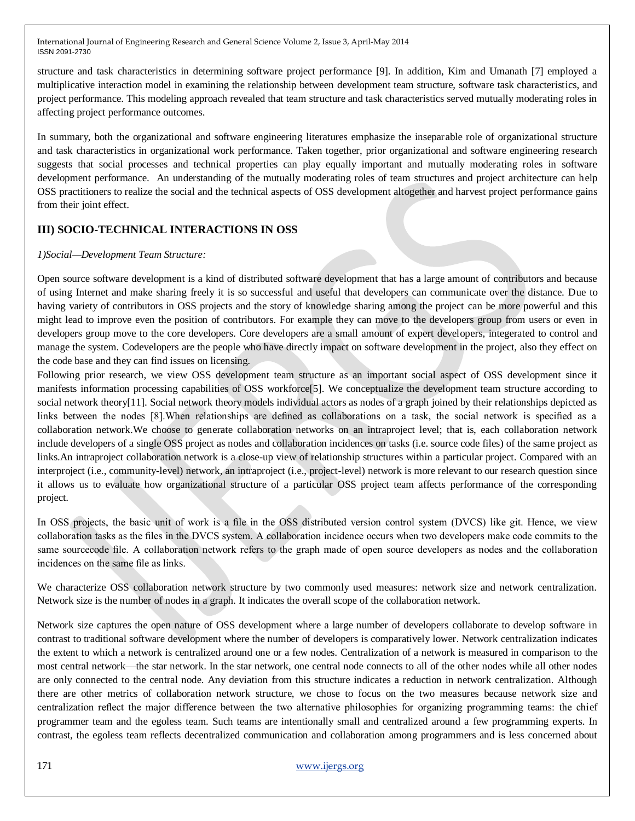structure and task characteristics in determining software project performance [9]. In addition, Kim and Umanath [7] employed a multiplicative interaction model in examining the relationship between development team structure, software task characteristics, and project performance. This modeling approach revealed that team structure and task characteristics served mutually moderating roles in affecting project performance outcomes.

In summary, both the organizational and software engineering literatures emphasize the inseparable role of organizational structure and task characteristics in organizational work performance. Taken together, prior organizational and software engineering research suggests that social processes and technical properties can play equally important and mutually moderating roles in software development performance. An understanding of the mutually moderating roles of team structures and project architecture can help OSS practitioners to realize the social and the technical aspects of OSS development altogether and harvest project performance gains from their joint effect.

## **III) SOCIO-TECHNICAL INTERACTIONS IN OSS**

## *1)Social—Development Team Structure:*

Open source software development is a kind of distributed software development that has a large amount of contributors and because of using Internet and make sharing freely it is so successful and useful that developers can communicate over the distance. Due to having variety of contributors in OSS projects and the story of knowledge sharing among the project can be more powerful and this might lead to improve even the position of contributors. For example they can move to the developers group from users or even in developers group move to the core developers. Core developers are a small amount of expert developers, integerated to control and manage the system. Codevelopers are the people who have directly impact on software development in the project, also they effect on the code base and they can find issues on licensing.

Following prior research, we view OSS development team structure as an important social aspect of OSS development since it manifests information processing capabilities of OSS workforce[5]. We conceptualize the development team structure according to social network theory[11]. Social network theory models individual actors as nodes of a graph joined by their relationships depicted as links between the nodes [8].When relationships are defined as collaborations on a task, the social network is specified as a collaboration network.We choose to generate collaboration networks on an intraproject level; that is, each collaboration network include developers of a single OSS project as nodes and collaboration incidences on tasks (i.e. source code files) of the same project as links.An intraproject collaboration network is a close-up view of relationship structures within a particular project. Compared with an interproject (i.e., community-level) network, an intraproject (i.e., project-level) network is more relevant to our research question since it allows us to evaluate how organizational structure of a particular OSS project team affects performance of the corresponding project.

In OSS projects, the basic unit of work is a file in the OSS distributed version control system (DVCS) like git. Hence, we view collaboration tasks as the files in the DVCS system. A collaboration incidence occurs when two developers make code commits to the same sourcecode file. A collaboration network refers to the graph made of open source developers as nodes and the collaboration incidences on the same file as links.

We characterize OSS collaboration network structure by two commonly used measures: network size and network centralization. Network size is the number of nodes in a graph. It indicates the overall scope of the collaboration network.

Network size captures the open nature of OSS development where a large number of developers collaborate to develop software in contrast to traditional software development where the number of developers is comparatively lower. Network centralization indicates the extent to which a network is centralized around one or a few nodes. Centralization of a network is measured in comparison to the most central network—the star network. In the star network, one central node connects to all of the other nodes while all other nodes are only connected to the central node. Any deviation from this structure indicates a reduction in network centralization. Although there are other metrics of collaboration network structure, we chose to focus on the two measures because network size and centralization reflect the major difference between the two alternative philosophies for organizing programming teams: the chief programmer team and the egoless team. Such teams are intentionally small and centralized around a few programming experts. In contrast, the egoless team reflects decentralized communication and collaboration among programmers and is less concerned about

## 171 [www.ijergs.org](http://www.ijergs.org/)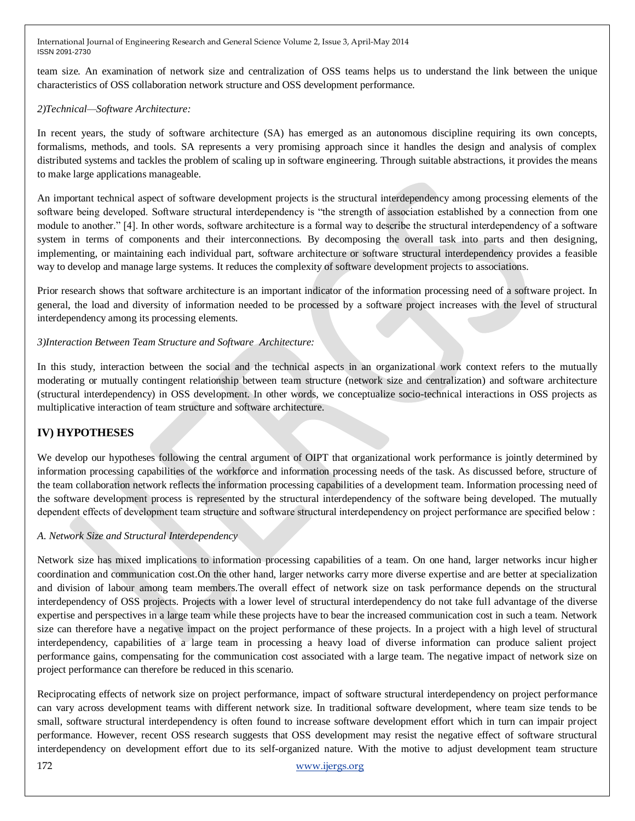team size. An examination of network size and centralization of OSS teams helps us to understand the link between the unique characteristics of OSS collaboration network structure and OSS development performance.

## *2)Technical—Software Architecture:*

In recent years, the study of software architecture (SA) has emerged as an autonomous discipline requiring its own concepts, formalisms, methods, and tools. SA represents a very promising approach since it handles the design and analysis of complex distributed systems and tackles the problem of scaling up in software engineering. Through suitable abstractions, it provides the means to make large applications manageable.

An important technical aspect of software development projects is the structural interdependency among processing elements of the software being developed. Software structural interdependency is "the strength of association established by a connection from one module to another." [4]. In other words, software architecture is a formal way to describe the structural interdependency of a software system in terms of components and their interconnections. By decomposing the overall task into parts and then designing, implementing, or maintaining each individual part, software architecture or software structural interdependency provides a feasible way to develop and manage large systems. It reduces the complexity of software development projects to associations.

Prior research shows that software architecture is an important indicator of the information processing need of a software project. In general, the load and diversity of information needed to be processed by a software project increases with the level of structural interdependency among its processing elements.

## *3)Interaction Between Team Structure and Software Architecture:*

In this study, interaction between the social and the technical aspects in an organizational work context refers to the mutually moderating or mutually contingent relationship between team structure (network size and centralization) and software architecture (structural interdependency) in OSS development. In other words, we conceptualize socio-technical interactions in OSS projects as multiplicative interaction of team structure and software architecture.

# **IV) HYPOTHESES**

We develop our hypotheses following the central argument of OIPT that organizational work performance is jointly determined by information processing capabilities of the workforce and information processing needs of the task. As discussed before, structure of the team collaboration network reflects the information processing capabilities of a development team. Information processing need of the software development process is represented by the structural interdependency of the software being developed. The mutually dependent effects of development team structure and software structural interdependency on project performance are specified below :

#### *A. Network Size and Structural Interdependency*

Network size has mixed implications to information processing capabilities of a team. On one hand, larger networks incur higher coordination and communication cost.On the other hand, larger networks carry more diverse expertise and are better at specialization and division of labour among team members.The overall effect of network size on task performance depends on the structural interdependency of OSS projects. Projects with a lower level of structural interdependency do not take full advantage of the diverse expertise and perspectives in a large team while these projects have to bear the increased communication cost in such a team. Network size can therefore have a negative impact on the project performance of these projects. In a project with a high level of structural interdependency, capabilities of a large team in processing a heavy load of diverse information can produce salient project performance gains, compensating for the communication cost associated with a large team. The negative impact of network size on project performance can therefore be reduced in this scenario.

Reciprocating effects of network size on project performance, impact of software structural interdependency on project performance can vary across development teams with different network size. In traditional software development, where team size tends to be small, software structural interdependency is often found to increase software development effort which in turn can impair project performance. However, recent OSS research suggests that OSS development may resist the negative effect of software structural interdependency on development effort due to its self-organized nature. With the motive to adjust development team structure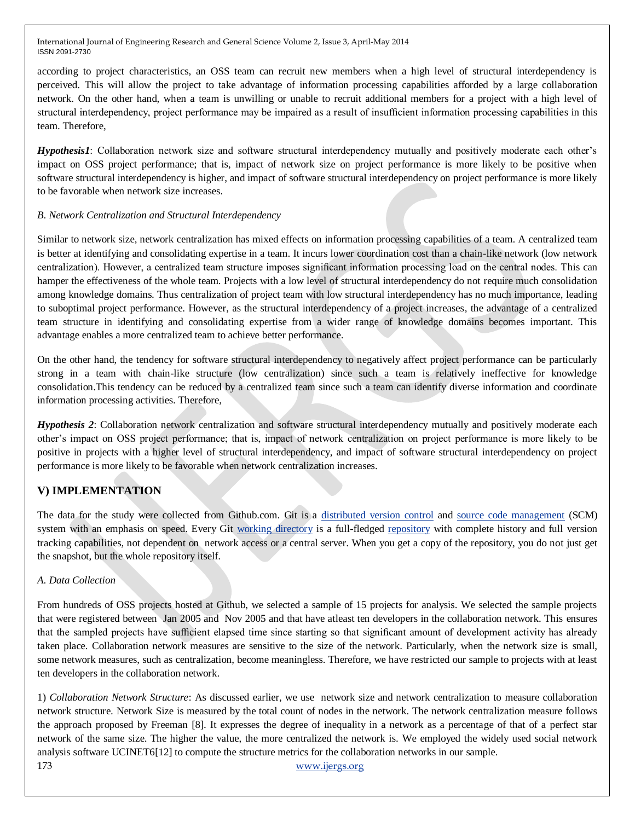according to project characteristics, an OSS team can recruit new members when a high level of structural interdependency is perceived. This will allow the project to take advantage of information processing capabilities afforded by a large collaboration network. On the other hand, when a team is unwilling or unable to recruit additional members for a project with a high level of structural interdependency, project performance may be impaired as a result of insufficient information processing capabilities in this team. Therefore,

*Hypothesis1*: Collaboration network size and software structural interdependency mutually and positively moderate each other's impact on OSS project performance; that is, impact of network size on project performance is more likely to be positive when software structural interdependency is higher, and impact of software structural interdependency on project performance is more likely to be favorable when network size increases.

## *B. Network Centralization and Structural Interdependency*

Similar to network size, network centralization has mixed effects on information processing capabilities of a team. A centralized team is better at identifying and consolidating expertise in a team. It incurs lower coordination cost than a chain-like network (low network centralization). However, a centralized team structure imposes significant information processing load on the central nodes. This can hamper the effectiveness of the whole team. Projects with a low level of structural interdependency do not require much consolidation among knowledge domains. Thus centralization of project team with low structural interdependency has no much importance, leading to suboptimal project performance. However, as the structural interdependency of a project increases, the advantage of a centralized team structure in identifying and consolidating expertise from a wider range of knowledge domains becomes important. This advantage enables a more centralized team to achieve better performance.

On the other hand, the tendency for software structural interdependency to negatively affect project performance can be particularly strong in a team with chain-like structure (low centralization) since such a team is relatively ineffective for knowledge consolidation.This tendency can be reduced by a centralized team since such a team can identify diverse information and coordinate information processing activities. Therefore,

*Hypothesis 2*: Collaboration network centralization and software structural interdependency mutually and positively moderate each other's impact on OSS project performance; that is, impact of network centralization on project performance is more likely to be positive in projects with a higher level of structural interdependency, and impact of software structural interdependency on project performance is more likely to be favorable when network centralization increases.

# **V) IMPLEMENTATION**

The data for the study were collected from Github.com. Git is a [distributed version control](http://en.wikipedia.org/wiki/Distributed_revision_control) and [source code management](http://en.wikipedia.org/wiki/Source_code_management) (SCM) system with an emphasis on speed. Every Git [working directory](http://en.wikipedia.org/wiki/Working_directory) is a full-fledged [repository](http://en.wikipedia.org/wiki/Repository_%28version_control%29) with complete history and full version tracking capabilities, not dependent on network access or a central server. When you get a copy of the repository, you do not just get the snapshot, but the whole repository itself.

## *A. Data Collection*

From hundreds of OSS projects hosted at Github, we selected a sample of 15 projects for analysis. We selected the sample projects that were registered between Jan 2005 and Nov 2005 and that have atleast ten developers in the collaboration network. This ensures that the sampled projects have sufficient elapsed time since starting so that significant amount of development activity has already taken place. Collaboration network measures are sensitive to the size of the network. Particularly, when the network size is small, some network measures, such as centralization, become meaningless. Therefore, we have restricted our sample to projects with at least ten developers in the collaboration network.

173 [www.ijergs.org](http://www.ijergs.org/) 1) *Collaboration Network Structure*: As discussed earlier, we use network size and network centralization to measure collaboration network structure. Network Size is measured by the total count of nodes in the network. The network centralization measure follows the approach proposed by Freeman [8]. It expresses the degree of inequality in a network as a percentage of that of a perfect star network of the same size. The higher the value, the more centralized the network is. We employed the widely used social network analysis software UCINET6[12] to compute the structure metrics for the collaboration networks in our sample.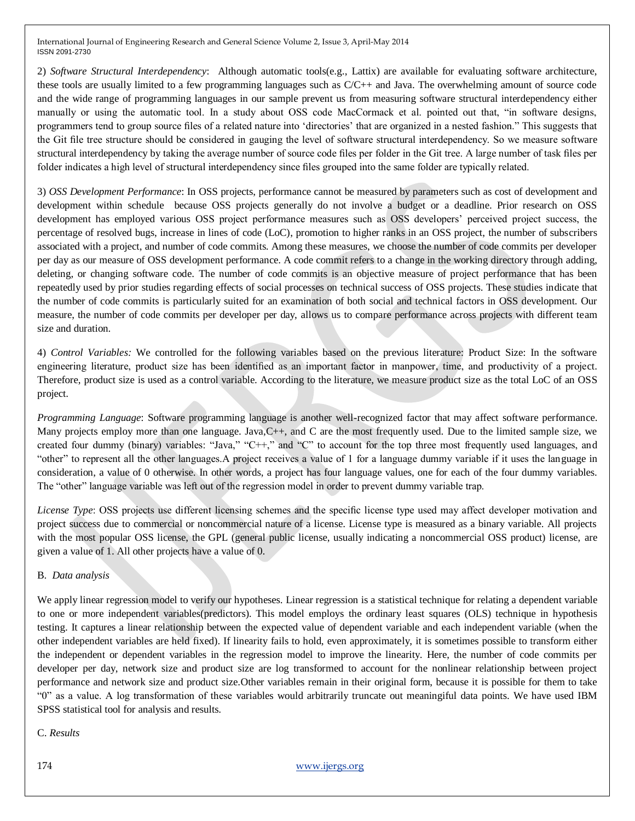2) *Software Structural Interdependency*: Although automatic tools(e.g., Lattix) are available for evaluating software architecture, these tools are usually limited to a few programming languages such as C/C++ and Java. The overwhelming amount of source code and the wide range of programming languages in our sample prevent us from measuring software structural interdependency either manually or using the automatic tool. In a study about OSS code MacCormack et al. pointed out that, "in software designs, programmers tend to group source files of a related nature into 'directories' that are organized in a nested fashion." This suggests that the Git file tree structure should be considered in gauging the level of software structural interdependency. So we measure software structural interdependency by taking the average number of source code files per folder in the Git tree. A large number of task files per folder indicates a high level of structural interdependency since files grouped into the same folder are typically related.

3) *OSS Development Performance*: In OSS projects, performance cannot be measured by parameters such as cost of development and development within schedule because OSS projects generally do not involve a budget or a deadline. Prior research on OSS development has employed various OSS project performance measures such as OSS developers' perceived project success, the percentage of resolved bugs, increase in lines of code (LoC), promotion to higher ranks in an OSS project, the number of subscribers associated with a project, and number of code commits. Among these measures, we choose the number of code commits per developer per day as our measure of OSS development performance. A code commit refers to a change in the working directory through adding, deleting, or changing software code. The number of code commits is an objective measure of project performance that has been repeatedly used by prior studies regarding effects of social processes on technical success of OSS projects. These studies indicate that the number of code commits is particularly suited for an examination of both social and technical factors in OSS development. Our measure, the number of code commits per developer per day, allows us to compare performance across projects with different team size and duration.

4) *Control Variables:* We controlled for the following variables based on the previous literature: Product Size: In the software engineering literature, product size has been identified as an important factor in manpower, time, and productivity of a project. Therefore, product size is used as a control variable. According to the literature, we measure product size as the total LoC of an OSS project.

*Programming Language*: Software programming language is another well-recognized factor that may affect software performance. Many projects employ more than one language. Java,C++, and C are the most frequently used. Due to the limited sample size, we created four dummy (binary) variables: "Java," " $C++$ ," and " $C$ " to account for the top three most frequently used languages, and "other" to represent all the other languages. A project receives a value of 1 for a language dummy variable if it uses the language in consideration, a value of 0 otherwise. In other words, a project has four language values, one for each of the four dummy variables. The "other" language variable was left out of the regression model in order to prevent dummy variable trap.

*License Type*: OSS projects use different licensing schemes and the specific license type used may affect developer motivation and project success due to commercial or noncommercial nature of a license. License type is measured as a binary variable. All projects with the most popular OSS license, the GPL (general public license, usually indicating a noncommercial OSS product) license, are given a value of 1. All other projects have a value of 0.

#### B. *Data analysis*

We apply linear regression model to verify our hypotheses. [Linear regression](http://en.wikipedia.org/wiki/Linear_regression) is a statistical technique for relating a dependent variable to one or more independent variables(predictors). This model employs the ordinary least squares (OLS) technique in hypothesis testing. It captures a [linear](http://en.wikipedia.org/wiki/Linear) relationship between the [expected value](http://en.wikipedia.org/wiki/Expected_value) of dependent variable and each [independent variable](http://en.wikipedia.org/wiki/Dependent_and_independent_variables) (when the other independent variables are held fixed). If linearity fails to hold, even approximately, it is sometimes possible to transform either the independent or dependent variables in the regression model to improve the linearity. Here, the number of code commits per developer per day, network size and product size are log transformed to account for the nonlinear relationship between project performance and network size and product size.Other variables remain in their original form, because it is possible for them to take ―0‖ as a value. A log transformation of these variables would arbitrarily truncate out meaningiful data points. We have used IBM SPSS statistical tool for analysis and results.

C. *Results*

174 [www.ijergs.org](http://www.ijergs.org/)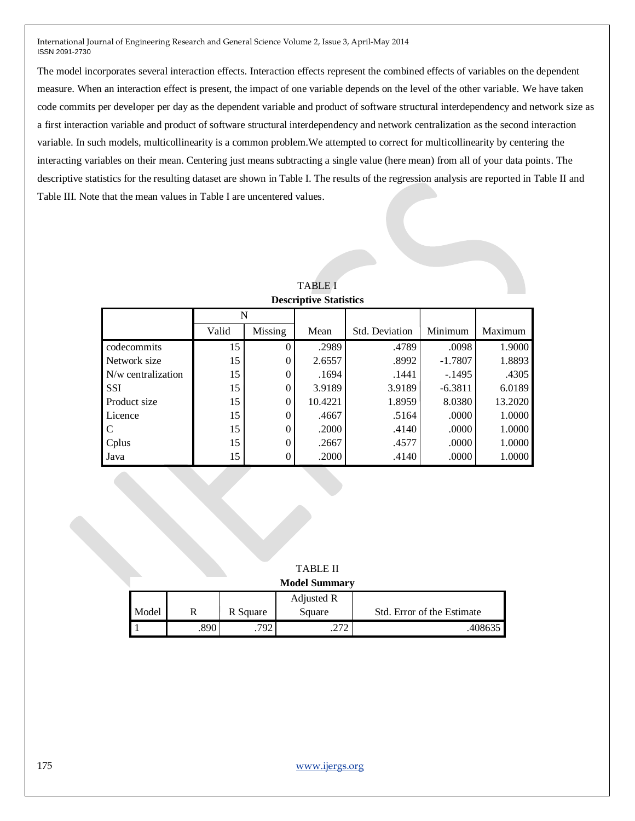The model incorporates several interaction effects. Interaction effects represent the combined effects of variables on the dependent measure. When an interaction effect is present, the impact of one variable depends on the level of the other variable. We have taken code commits per developer per day as the dependent variable and product of software structural interdependency and network size as a first interaction variable and product of software structural interdependency and network centralization as the second interaction variable. In such models, multicollinearity is a common problem.We attempted to correct for multicollinearity by centering the interacting variables on their mean. Centering just means subtracting a single value (here mean) from all of your data points. The descriptive statistics for the resulting dataset are shown in Table I. The results of the regression analysis are reported in Table II and Table III. Note that the mean values in Table I are uncentered values.

| DUSCITIQUE DIAUSIIUS |       |          |         |                |           |         |  |  |  |
|----------------------|-------|----------|---------|----------------|-----------|---------|--|--|--|
|                      | N     |          |         |                |           |         |  |  |  |
|                      | Valid | Missing  | Mean    | Std. Deviation | Minimum   | Maximum |  |  |  |
| codecommits          | 15    |          | .2989   | .4789          | .0098     | 1.9000  |  |  |  |
| Network size         | 15    | 0        | 2.6557  | .8992          | $-1.7807$ | 1.8893  |  |  |  |
| N/w centralization   | 15    | 0        | .1694   | .1441          | $-.1495$  | .4305   |  |  |  |
| <b>SSI</b>           | 15    | $\theta$ | 3.9189  | 3.9189         | $-6.3811$ | 6.0189  |  |  |  |
| Product size         | 15    | $\theta$ | 10.4221 | 1.8959         | 8.0380    | 13.2020 |  |  |  |
| Licence              | 15    | 0        | .4667   | .5164          | .0000     | 1.0000  |  |  |  |
|                      | 15    | 0        | .2000   | .4140          | .0000     | 1.0000  |  |  |  |
| Cplus                | 15    | 0        | .2667   | .4577          | .0000     | 1.0000  |  |  |  |
| Java                 | 15    | 0        | .2000   | .4140          | .0000     | 1.0000  |  |  |  |

TABLE I **Descriptive Statistics** 

TABLE II **Model Summary**

| <b>INTOULL DUMINIQUE</b> |     |          |            |                            |  |  |  |
|--------------------------|-----|----------|------------|----------------------------|--|--|--|
|                          |     |          | Adjusted R |                            |  |  |  |
| Model                    |     | R Square | Square     | Std. Error of the Estimate |  |  |  |
|                          | 890 |          | $\sim$     |                            |  |  |  |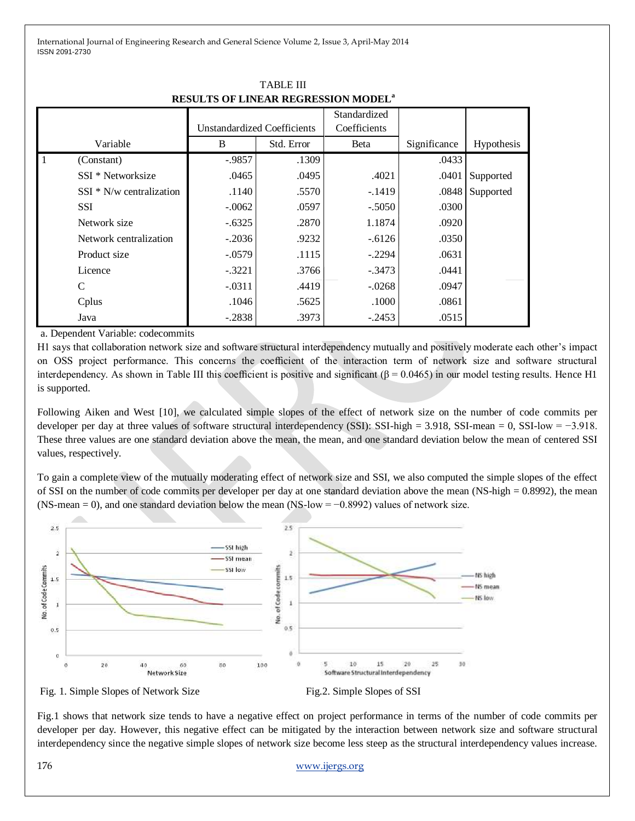|          |                            | <b>Unstandardized Coefficients</b> |            | Standardized<br>Coefficients |              |            |
|----------|----------------------------|------------------------------------|------------|------------------------------|--------------|------------|
| Variable |                            | B                                  | Std. Error | <b>B</b> eta                 | Significance | Hypothesis |
|          | (Constant)                 | $-.9857$                           | .1309      |                              | .0433        |            |
|          | SSI * Networksize          | .0465                              | .0495      | .4021                        | .0401        | Supported  |
|          | $SSI * N/w$ centralization | .1140                              | .5570      | $-.1419$                     | .0848        | Supported  |
|          | <b>SSI</b>                 | $-.0062$                           | .0597      | $-.5050$                     | .0300        |            |
|          | Network size               | $-.6325$                           | .2870      | 1.1874                       | .0920        |            |
|          | Network centralization     | $-.2036$                           | .9232      | $-.6126$                     | .0350        |            |
|          | Product size               | $-.0579$                           | .1115      | $-.2294$                     | .0631        |            |
|          | Licence                    | $-.3221$                           | .3766      | $-.3473$                     | .0441        |            |
|          | C                          | $-.0311$                           | .4419      | $-.0268$                     | .0947        |            |
|          | Cplus                      | .1046                              | .5625      | .1000                        | .0861        |            |
|          | Java                       | $-.2838$                           | .3973      | $-.2453$                     | .0515        |            |

TABLE III **RESULTS OF LINEAR REGRESSION MODEL<sup>a</sup>**

a. Dependent Variable: codecommits

H1 says that collaboration network size and software structural interdependency mutually and positively moderate each other's impact on OSS project performance. This concerns the coefficient of the interaction term of network size and software structural interdependency. As shown in Table III this coefficient is positive and significant ( $\beta = 0.0465$ ) in our model testing results. Hence H1 is supported.

Following Aiken and West [10], we calculated simple slopes of the effect of network size on the number of code commits per developer per day at three values of software structural interdependency (SSI): SSI-high = 3.918, SSI-mean = 0, SSI-low = −3.918. These three values are one standard deviation above the mean, the mean, and one standard deviation below the mean of centered SSI values, respectively.

To gain a complete view of the mutually moderating effect of network size and SSI, we also computed the simple slopes of the effect of SSI on the number of code commits per developer per day at one standard deviation above the mean (NS-high = 0.8992), the mean (NS-mean = 0), and one standard deviation below the mean (NS-low = −0.8992) values of network size.



Fig. 1. Simple Slopes of Network Size Fig.2. Simple Slopes of SSI

Fig.1 shows that network size tends to have a negative effect on project performance in terms of the number of code commits per developer per day. However, this negative effect can be mitigated by the interaction between network size and software structural interdependency since the negative simple slopes of network size become less steep as the structural interdependency values increase.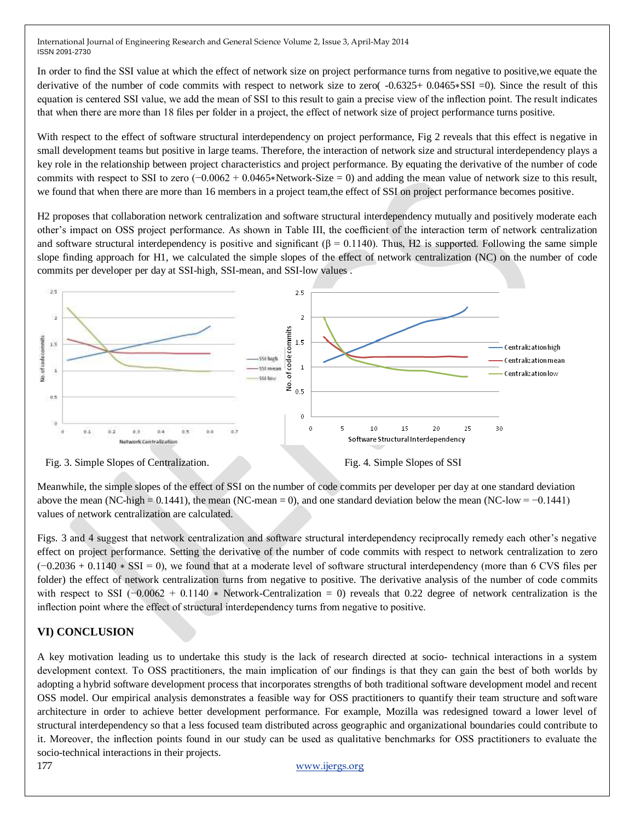In order to find the SSI value at which the effect of network size on project performance turns from negative to positive,we equate the derivative of the number of code commits with respect to network size to zero( -0.6325+ 0.0465∗SSI =0). Since the result of this equation is centered SSI value, we add the mean of SSI to this result to gain a precise view of the inflection point. The result indicates that when there are more than 18 files per folder in a project, the effect of network size of project performance turns positive.

With respect to the effect of software structural interdependency on project performance, Fig 2 reveals that this effect is negative in small development teams but positive in large teams. Therefore, the interaction of network size and structural interdependency plays a key role in the relationship between project characteristics and project performance. By equating the derivative of the number of code commits with respect to SSI to zero (−0.0062 + 0.0465∗Network-Size = 0) and adding the mean value of network size to this result, we found that when there are more than 16 members in a project team,the effect of SSI on project performance becomes positive.

H2 proposes that collaboration network centralization and software structural interdependency mutually and positively moderate each other's impact on OSS project performance. As shown in Table III, the coefficient of the interaction term of network centralization and software structural interdependency is positive and significant ( $\beta = 0.1140$ ). Thus, H2 is supported. Following the same simple slope finding approach for H1, we calculated the simple slopes of the effect of network centralization (NC) on the number of code commits per developer per day at SSI-high, SSI-mean, and SSI-low values .



Meanwhile, the simple slopes of the effect of SSI on the number of code commits per developer per day at one standard deviation above the mean (NC-high = 0.1441), the mean (NC-mean = 0), and one standard deviation below the mean (NC-low =  $-0.1441$ ) values of network centralization are calculated.

Figs. 3 and 4 suggest that network centralization and software structural interdependency reciprocally remedy each other's negative effect on project performance. Setting the derivative of the number of code commits with respect to network centralization to zero (−0.2036 + 0.1140 ∗ SSI = 0), we found that at a moderate level of software structural interdependency (more than 6 CVS files per folder) the effect of network centralization turns from negative to positive. The derivative analysis of the number of code commits with respect to SSI  $(-0.0062 + 0.1140)$  \* Network-Centralization = 0) reveals that 0.22 degree of network centralization is the inflection point where the effect of structural interdependency turns from negative to positive.

# **VI) CONCLUSION**

A key motivation leading us to undertake this study is the lack of research directed at socio- technical interactions in a system development context. To OSS practitioners, the main implication of our findings is that they can gain the best of both worlds by adopting a hybrid software development process that incorporates strengths of both traditional software development model and recent OSS model. Our empirical analysis demonstrates a feasible way for OSS practitioners to quantify their team structure and software architecture in order to achieve better development performance. For example, Mozilla was redesigned toward a lower level of structural interdependency so that a less focused team distributed across geographic and organizational boundaries could contribute to it. Moreover, the inflection points found in our study can be used as qualitative benchmarks for OSS practitioners to evaluate the socio-technical interactions in their projects.

#### 177 [www.ijergs.org](http://www.ijergs.org/)